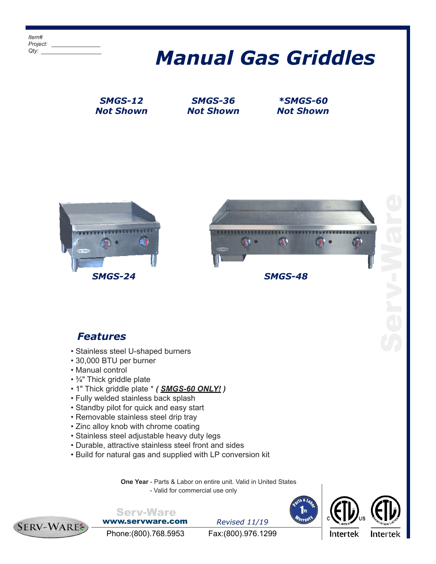## *Manual Gas Griddles*

*SMGS-12 Not Shown*

*SMGS-36 Not Shown*

*\*SMGS-60 Not Shown*





## *Features*

- Stainless steel U-shaped burners
- 30,000 BTU per burner
- Manual control
- ¾" Thick griddle plate
- 1" Thick griddle plate \* *( SMGS-60 ONLY! )*
- Fully welded stainless back splash
- Standby pilot for quick and easy start
- Removable stainless steel drip tray
- Zinc alloy knob with chrome coating
- Stainless steel adjustable heavy duty legs
- Durable, attractive stainless steel front and sides
- Build for natural gas and supplied with LP conversion kit

**One Year** - Parts & Labor on entire unit. Valid in United States - Valid for commercial use only







www.servware.com

Serv-Ware

*Revised 11/19*



Phone:(800).768.5953 Fax:(800).976.1299

Intertek

Intertek